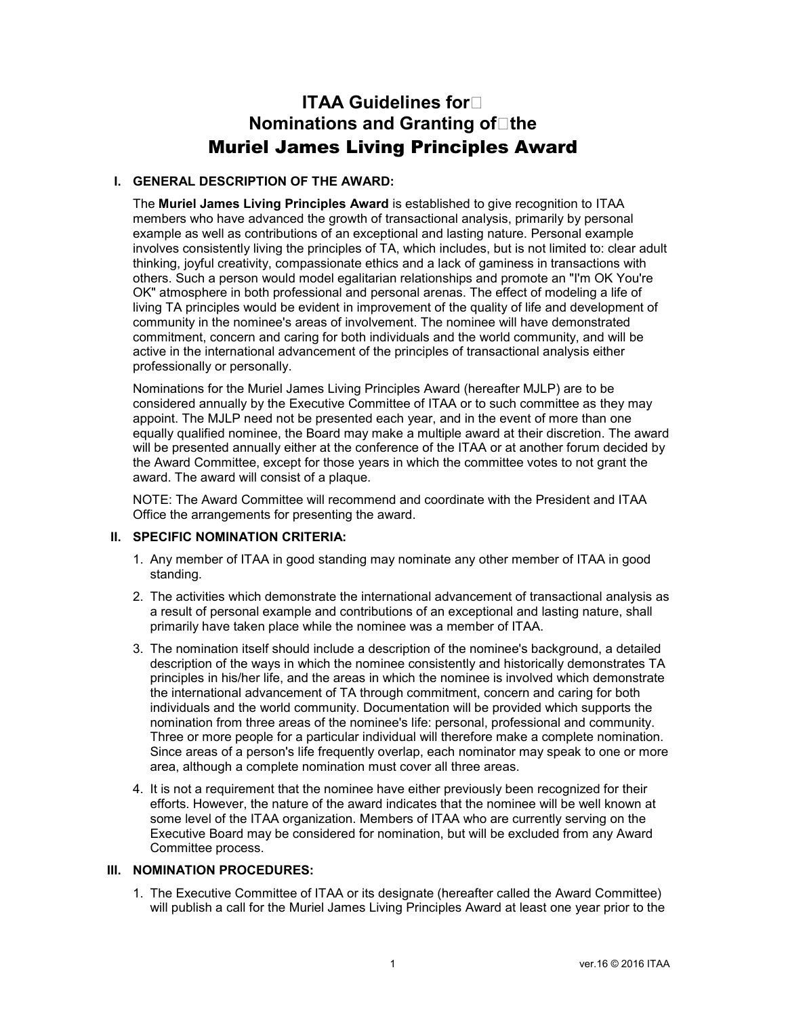# **ITAA Guidelines for Nominations and Granting of The** Muriel James Living Principles Award

## **I. GENERAL DESCRIPTION OF THE AWARD:**

The **Muriel James Living Principles Award** is established to give recognition to ITAA members who have advanced the growth of transactional analysis, primarily by personal example as well as contributions of an exceptional and lasting nature. Personal example involves consistently living the principles of TA, which includes, but is not limited to: clear adult thinking, joyful creativity, compassionate ethics and a lack of gaminess in transactions with others. Such a person would model egalitarian relationships and promote an "I'm OK You're OK" atmosphere in both professional and personal arenas. The effect of modeling a life of living TA principles would be evident in improvement of the quality of life and development of community in the nominee's areas of involvement. The nominee will have demonstrated commitment, concern and caring for both individuals and the world community, and will be active in the international advancement of the principles of transactional analysis either professionally or personally.

Nominations for the Muriel James Living Principles Award (hereafter MJLP) are to be considered annually by the Executive Committee of ITAA or to such committee as they may appoint. The MJLP need not be presented each year, and in the event of more than one equally qualified nominee, the Board may make a multiple award at their discretion. The award will be presented annually either at the conference of the ITAA or at another forum decided by the Award Committee, except for those years in which the committee votes to not grant the award. The award will consist of a plaque.

NOTE: The Award Committee will recommend and coordinate with the President and ITAA Office the arrangements for presenting the award.

### **II. SPECIFIC NOMINATION CRITERIA:**

- 1. Any member of ITAA in good standing may nominate any other member of ITAA in good standing.
- 2. The activities which demonstrate the international advancement of transactional analysis as a result of personal example and contributions of an exceptional and lasting nature, shall primarily have taken place while the nominee was a member of ITAA.
- 3. The nomination itself should include a description of the nominee's background, a detailed description of the ways in which the nominee consistently and historically demonstrates TA principles in his/her life, and the areas in which the nominee is involved which demonstrate the international advancement of TA through commitment, concern and caring for both individuals and the world community. Documentation will be provided which supports the nomination from three areas of the nominee's life: personal, professional and community. Three or more people for a particular individual will therefore make a complete nomination. Since areas of a person's life frequently overlap, each nominator may speak to one or more area, although a complete nomination must cover all three areas.
- 4. It is not a requirement that the nominee have either previously been recognized for their efforts. However, the nature of the award indicates that the nominee will be well known at some level of the ITAA organization. Members of ITAA who are currently serving on the Executive Board may be considered for nomination, but will be excluded from any Award Committee process.

#### **III. NOMINATION PROCEDURES:**

1. The Executive Committee of ITAA or its designate (hereafter called the Award Committee) will publish a call for the Muriel James Living Principles Award at least one year prior to the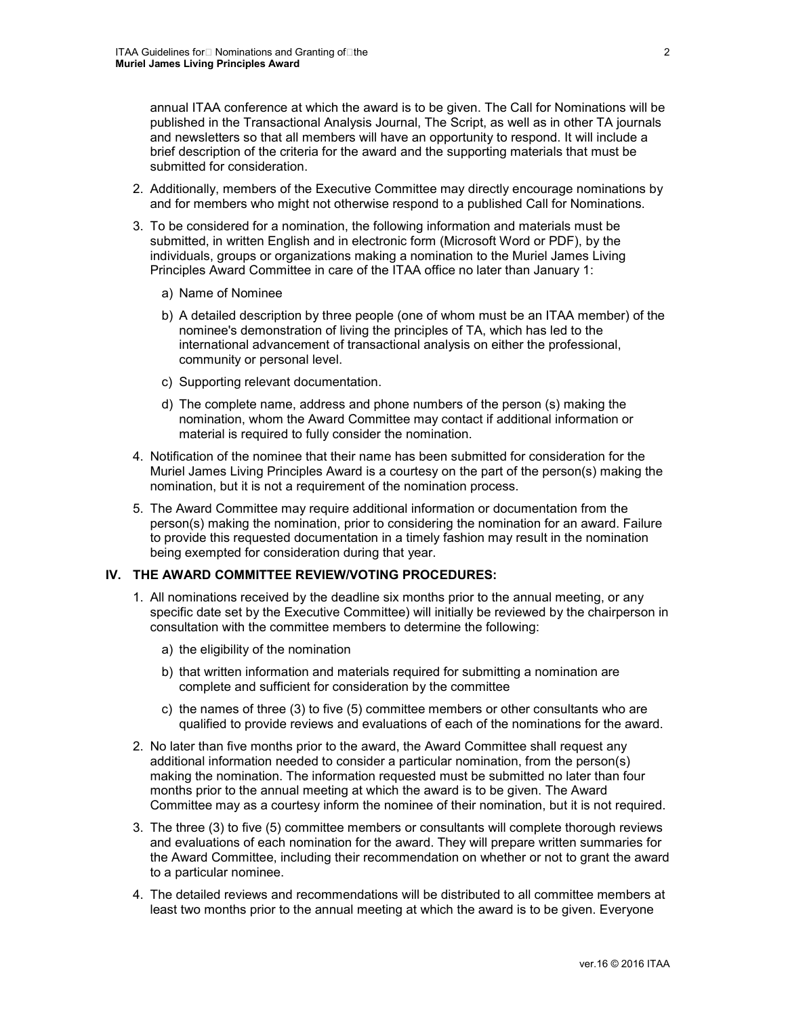annual ITAA conference at which the award is to be given. The Call for Nominations will be published in the Transactional Analysis Journal, The Script, as well as in other TA journals and newsletters so that all members will have an opportunity to respond. It will include a brief description of the criteria for the award and the supporting materials that must be submitted for consideration.

- 2. Additionally, members of the Executive Committee may directly encourage nominations by and for members who might not otherwise respond to a published Call for Nominations.
- 3. To be considered for a nomination, the following information and materials must be submitted, in written English and in electronic form (Microsoft Word or PDF), by the individuals, groups or organizations making a nomination to the Muriel James Living Principles Award Committee in care of the ITAA office no later than January 1:
	- a) Name of Nominee
	- b) A detailed description by three people (one of whom must be an ITAA member) of the nominee's demonstration of living the principles of TA, which has led to the international advancement of transactional analysis on either the professional, community or personal level.
	- c) Supporting relevant documentation.
	- d) The complete name, address and phone numbers of the person (s) making the nomination, whom the Award Committee may contact if additional information or material is required to fully consider the nomination.
- 4. Notification of the nominee that their name has been submitted for consideration for the Muriel James Living Principles Award is a courtesy on the part of the person(s) making the nomination, but it is not a requirement of the nomination process.
- 5. The Award Committee may require additional information or documentation from the person(s) making the nomination, prior to considering the nomination for an award. Failure to provide this requested documentation in a timely fashion may result in the nomination being exempted for consideration during that year.

## **IV. THE AWARD COMMITTEE REVIEW/VOTING PROCEDURES:**

- 1. All nominations received by the deadline six months prior to the annual meeting, or any specific date set by the Executive Committee) will initially be reviewed by the chairperson in consultation with the committee members to determine the following:
	- a) the eligibility of the nomination
	- b) that written information and materials required for submitting a nomination are complete and sufficient for consideration by the committee
	- c) the names of three (3) to five (5) committee members or other consultants who are qualified to provide reviews and evaluations of each of the nominations for the award.
- 2. No later than five months prior to the award, the Award Committee shall request any additional information needed to consider a particular nomination, from the person(s) making the nomination. The information requested must be submitted no later than four months prior to the annual meeting at which the award is to be given. The Award Committee may as a courtesy inform the nominee of their nomination, but it is not required.
- 3. The three (3) to five (5) committee members or consultants will complete thorough reviews and evaluations of each nomination for the award. They will prepare written summaries for the Award Committee, including their recommendation on whether or not to grant the award to a particular nominee.
- 4. The detailed reviews and recommendations will be distributed to all committee members at least two months prior to the annual meeting at which the award is to be given. Everyone